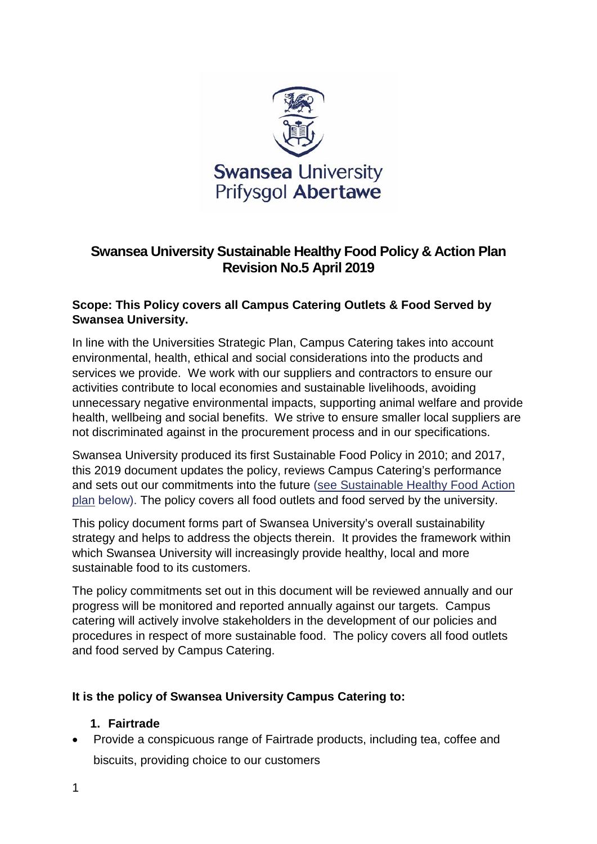

# **Swansea University Sustainable Healthy Food Policy & Action Plan Revision No.5 April 2019**

## **Scope: This Policy covers all Campus Catering Outlets & Food Served by Swansea University.**

In line with the Universities Strategic Plan, Campus Catering takes into account environmental, health, ethical and social considerations into the products and services we provide. We work with our suppliers and contractors to ensure our activities contribute to local economies and sustainable livelihoods, avoiding unnecessary negative environmental impacts, supporting animal welfare and provide health, wellbeing and social benefits. We strive to ensure smaller local suppliers are not discriminated against in the procurement process and in our specifications.

Swansea University produced its first Sustainable Food Policy in 2010; and 2017, this 2019 document updates the policy, reviews Campus Catering's performance and sets out our commitments into the future [\(see Sustainable Healthy Food Action](#page-4-0)  [plan](#page-4-0) below). The policy covers all food outlets and food served by the university.

This policy document forms part of Swansea University's overall sustainability strategy and helps to address the objects therein. It provides the framework within which Swansea University will increasingly provide healthy, local and more sustainable food to its customers.

The policy commitments set out in this document will be reviewed annually and our progress will be monitored and reported annually against our targets. Campus catering will actively involve stakeholders in the development of our policies and procedures in respect of more sustainable food. The policy covers all food outlets and food served by Campus Catering.

## **It is the policy of Swansea University Campus Catering to:**

#### **1. Fairtrade**

• Provide a conspicuous range of Fairtrade products, including tea, coffee and biscuits, providing choice to our customers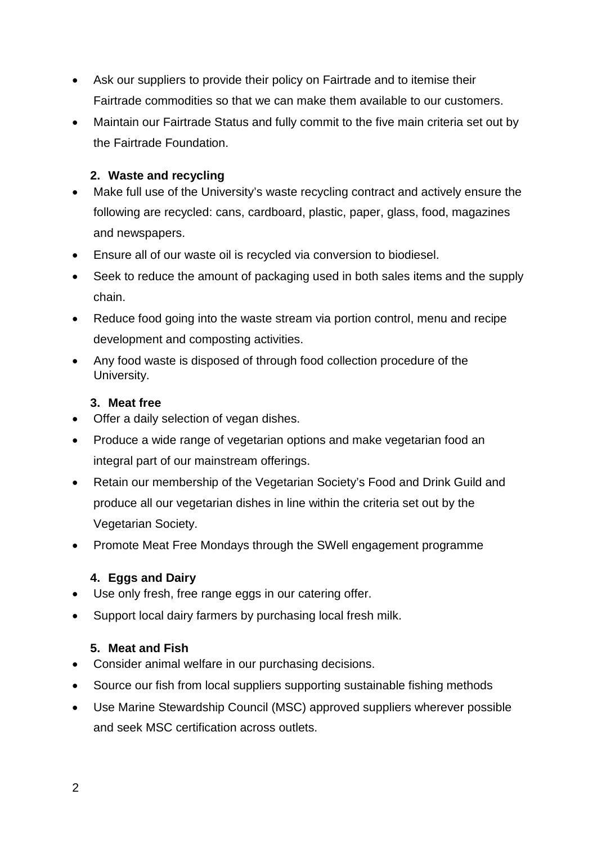- Ask our suppliers to provide their policy on Fairtrade and to itemise their Fairtrade commodities so that we can make them available to our customers.
- Maintain our Fairtrade Status and fully commit to the five main criteria set out by the Fairtrade Foundation.

## **2. Waste and recycling**

- Make full use of the University's waste recycling contract and actively ensure the following are recycled: cans, cardboard, plastic, paper, glass, food, magazines and newspapers.
- Ensure all of our waste oil is recycled via conversion to biodiesel.
- Seek to reduce the amount of packaging used in both sales items and the supply chain.
- Reduce food going into the waste stream via portion control, menu and recipe development and composting activities.
- Any food waste is disposed of through food collection procedure of the University.

## **3. Meat free**

- Offer a daily selection of vegan dishes.
- Produce a wide range of vegetarian options and make vegetarian food an integral part of our mainstream offerings.
- Retain our membership of the Vegetarian Society's Food and Drink Guild and produce all our vegetarian dishes in line within the criteria set out by the Vegetarian Society.
- Promote Meat Free Mondays through the SWell engagement programme

## **4. Eggs and Dairy**

- Use only fresh, free range eggs in our catering offer.
- Support local dairy farmers by purchasing local fresh milk.

## **5. Meat and Fish**

- Consider animal welfare in our purchasing decisions.
- Source our fish from local suppliers supporting sustainable fishing methods
- Use Marine Stewardship Council (MSC) approved suppliers wherever possible and seek MSC certification across outlets.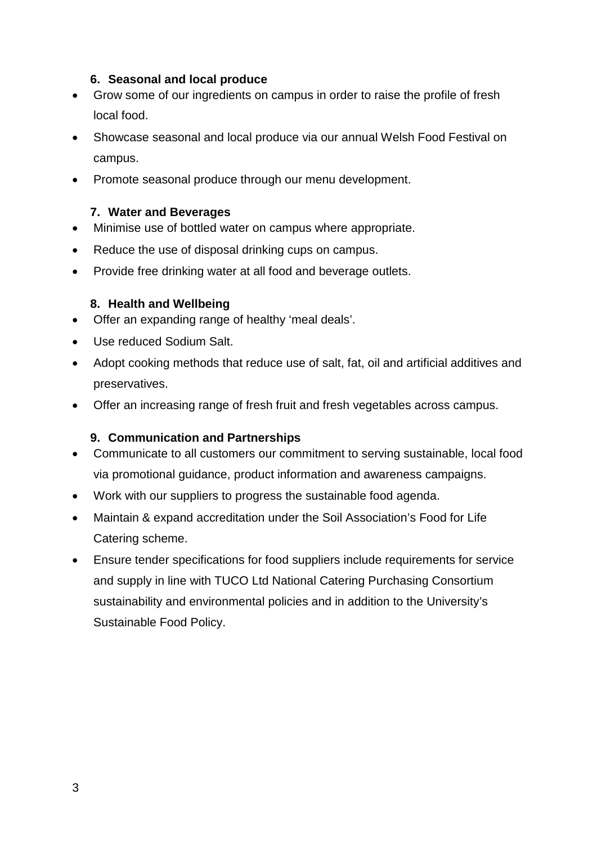#### **6. Seasonal and local produce**

- Grow some of our ingredients on campus in order to raise the profile of fresh local food.
- Showcase seasonal and local produce via our annual Welsh Food Festival on campus.
- Promote seasonal produce through our menu development.

## **7. Water and Beverages**

- Minimise use of bottled water on campus where appropriate.
- Reduce the use of disposal drinking cups on campus.
- Provide free drinking water at all food and beverage outlets.

## **8. Health and Wellbeing**

- Offer an expanding range of healthy 'meal deals'.
- Use reduced Sodium Salt.
- Adopt cooking methods that reduce use of salt, fat, oil and artificial additives and preservatives.
- Offer an increasing range of fresh fruit and fresh vegetables across campus.

## **9. Communication and Partnerships**

- Communicate to all customers our commitment to serving sustainable, local food via promotional guidance, product information and awareness campaigns.
- Work with our suppliers to progress the sustainable food agenda.
- Maintain & expand accreditation under the Soil Association's Food for Life Catering scheme.
- Ensure tender specifications for food suppliers include requirements for service and supply in line with TUCO Ltd National Catering Purchasing Consortium sustainability and environmental policies and in addition to the University's Sustainable Food Policy.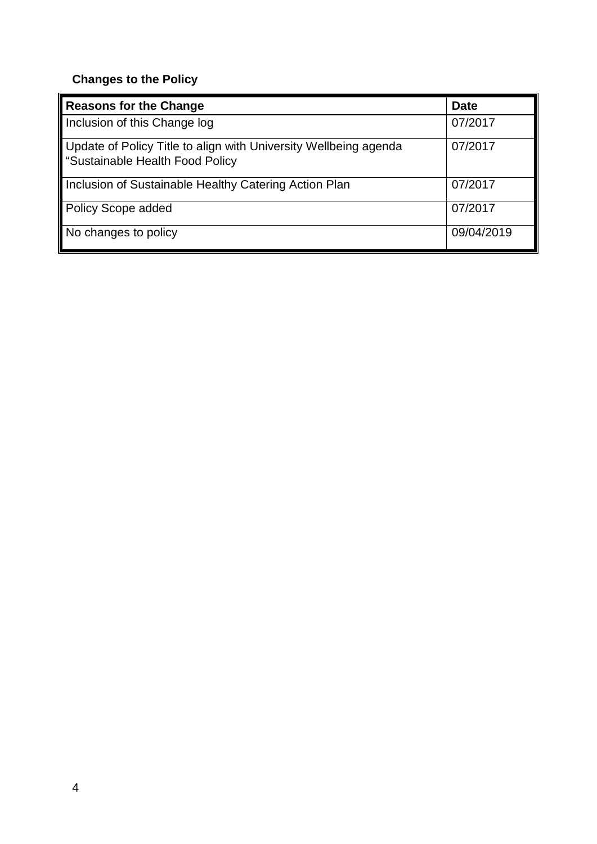# **Changes to the Policy**

| <b>Reasons for the Change</b>                                                                       | <b>Date</b> |
|-----------------------------------------------------------------------------------------------------|-------------|
| Inclusion of this Change log                                                                        | 07/2017     |
| Update of Policy Title to align with University Wellbeing agenda<br>"Sustainable Health Food Policy | 07/2017     |
| Inclusion of Sustainable Healthy Catering Action Plan                                               | 07/2017     |
| <b>Policy Scope added</b>                                                                           | 07/2017     |
| No changes to policy                                                                                | 09/04/2019  |